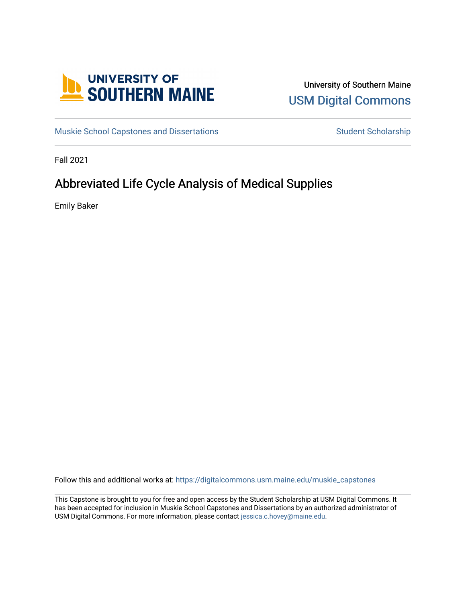

## University of Southern Maine [USM Digital Commons](https://digitalcommons.usm.maine.edu/)

[Muskie School Capstones and Dissertations](https://digitalcommons.usm.maine.edu/muskie_capstones) [Student Scholarship](https://digitalcommons.usm.maine.edu/students) Student Scholarship

Fall 2021

# Abbreviated Life Cycle Analysis of Medical Supplies

Emily Baker

Follow this and additional works at: [https://digitalcommons.usm.maine.edu/muskie\\_capstones](https://digitalcommons.usm.maine.edu/muskie_capstones?utm_source=digitalcommons.usm.maine.edu%2Fmuskie_capstones%2F172&utm_medium=PDF&utm_campaign=PDFCoverPages) 

This Capstone is brought to you for free and open access by the Student Scholarship at USM Digital Commons. It has been accepted for inclusion in Muskie School Capstones and Dissertations by an authorized administrator of USM Digital Commons. For more information, please contact [jessica.c.hovey@maine.edu](mailto:ian.fowler@maine.edu).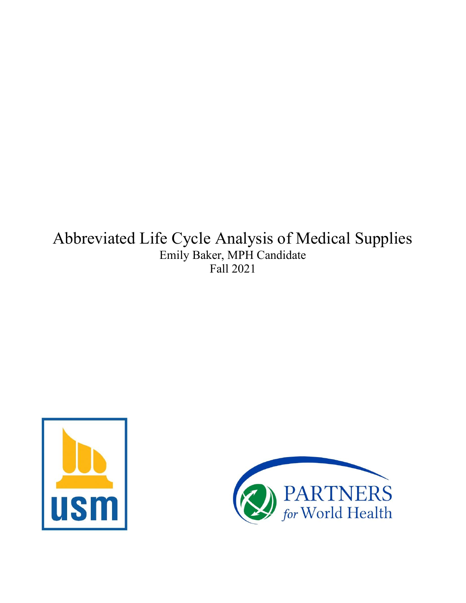Abbreviated Life Cycle Analysis of Medical Supplies Emily Baker, MPH Candidate Fall 2021



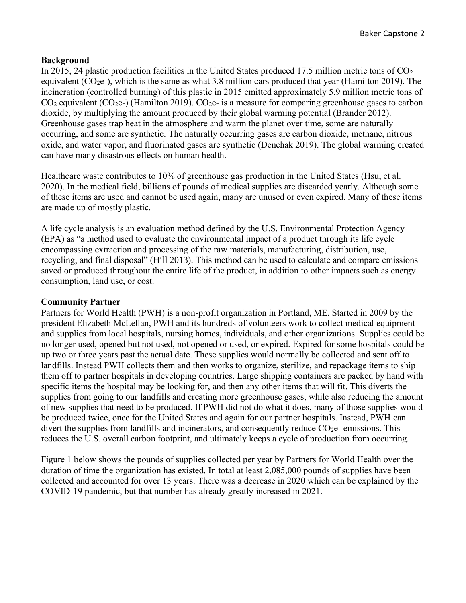#### **Background**

In 2015, 24 plastic production facilities in the United States produced 17.5 million metric tons of  $CO<sub>2</sub>$ equivalent (CO<sub>2</sub>e-), which is the same as what 3.8 million cars produced that year (Hamilton 2019). The incineration (controlled burning) of this plastic in 2015 emitted approximately 5.9 million metric tons of  $CO<sub>2</sub>$  equivalent ( $CO<sub>2</sub>e$ -) (Hamilton 2019).  $CO<sub>2</sub>e$ - is a measure for comparing greenhouse gases to carbon dioxide, by multiplying the amount produced by their global warming potential (Brander 2012). Greenhouse gases trap heat in the atmosphere and warm the planet over time, some are naturally occurring, and some are synthetic. The naturally occurring gases are carbon dioxide, methane, nitrous oxide, and water vapor, and fluorinated gases are synthetic (Denchak 2019). The global warming created can have many disastrous effects on human health.

Healthcare waste contributes to 10% of greenhouse gas production in the United States (Hsu, et al. 2020). In the medical field, billions of pounds of medical supplies are discarded yearly. Although some of these items are used and cannot be used again, many are unused or even expired. Many of these items are made up of mostly plastic.

A life cycle analysis is an evaluation method defined by the U.S. Environmental Protection Agency (EPA) as "a method used to evaluate the environmental impact of a product through its life cycle encompassing extraction and processing of the raw materials, manufacturing, distribution, use, recycling, and final disposal" (Hill 2013). This method can be used to calculate and compare emissions saved or produced throughout the entire life of the product, in addition to other impacts such as energy consumption, land use, or cost.

#### **Community Partner**

Partners for World Health (PWH) is a non-profit organization in Portland, ME. Started in 2009 by the president Elizabeth McLellan, PWH and its hundreds of volunteers work to collect medical equipment and supplies from local hospitals, nursing homes, individuals, and other organizations. Supplies could be no longer used, opened but not used, not opened or used, or expired. Expired for some hospitals could be up two or three years past the actual date. These supplies would normally be collected and sent off to landfills. Instead PWH collects them and then works to organize, sterilize, and repackage items to ship them off to partner hospitals in developing countries. Large shipping containers are packed by hand with specific items the hospital may be looking for, and then any other items that will fit. This diverts the supplies from going to our landfills and creating more greenhouse gases, while also reducing the amount of new supplies that need to be produced. If PWH did not do what it does, many of those supplies would be produced twice, once for the United States and again for our partner hospitals. Instead, PWH can divert the supplies from landfills and incinerators, and consequently reduce  $CO<sub>2</sub>e$ - emissions. This reduces the U.S. overall carbon footprint, and ultimately keeps a cycle of production from occurring.

Figure 1 below shows the pounds of supplies collected per year by Partners for World Health over the duration of time the organization has existed. In total at least 2,085,000 pounds of supplies have been collected and accounted for over 13 years. There was a decrease in 2020 which can be explained by the COVID-19 pandemic, but that number has already greatly increased in 2021.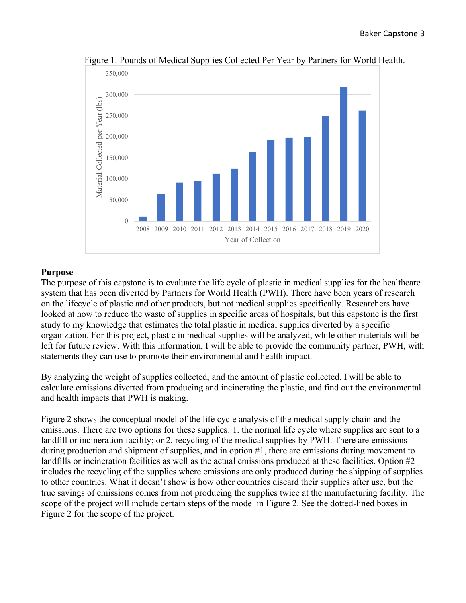

Figure 1. Pounds of Medical Supplies Collected Per Year by Partners for World Health.

## **Purpose**

The purpose of this capstone is to evaluate the life cycle of plastic in medical supplies for the healthcare system that has been diverted by Partners for World Health (PWH). There have been years of research on the lifecycle of plastic and other products, but not medical supplies specifically. Researchers have looked at how to reduce the waste of supplies in specific areas of hospitals, but this capstone is the first study to my knowledge that estimates the total plastic in medical supplies diverted by a specific organization. For this project, plastic in medical supplies will be analyzed, while other materials will be left for future review. With this information, I will be able to provide the community partner, PWH, with statements they can use to promote their environmental and health impact.

By analyzing the weight of supplies collected, and the amount of plastic collected, I will be able to calculate emissions diverted from producing and incinerating the plastic, and find out the environmental and health impacts that PWH is making.

Figure 2 shows the conceptual model of the life cycle analysis of the medical supply chain and the emissions. There are two options for these supplies: 1. the normal life cycle where supplies are sent to a landfill or incineration facility; or 2. recycling of the medical supplies by PWH. There are emissions during production and shipment of supplies, and in option #1, there are emissions during movement to landfills or incineration facilities as well as the actual emissions produced at these facilities. Option #2 includes the recycling of the supplies where emissions are only produced during the shipping of supplies to other countries. What it doesn't show is how other countries discard their supplies after use, but the true savings of emissions comes from not producing the supplies twice at the manufacturing facility. The scope of the project will include certain steps of the model in Figure 2. See the dotted-lined boxes in Figure 2 for the scope of the project.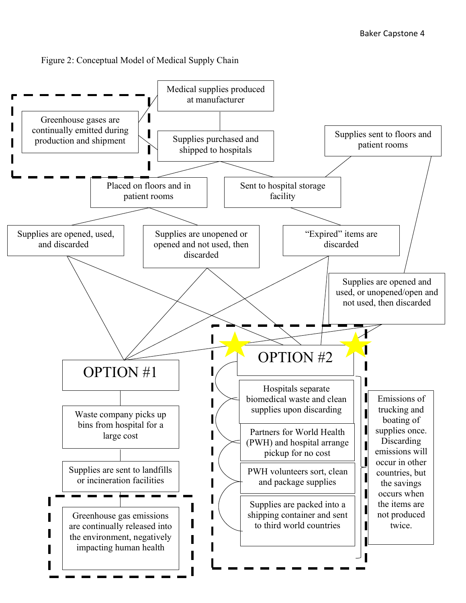

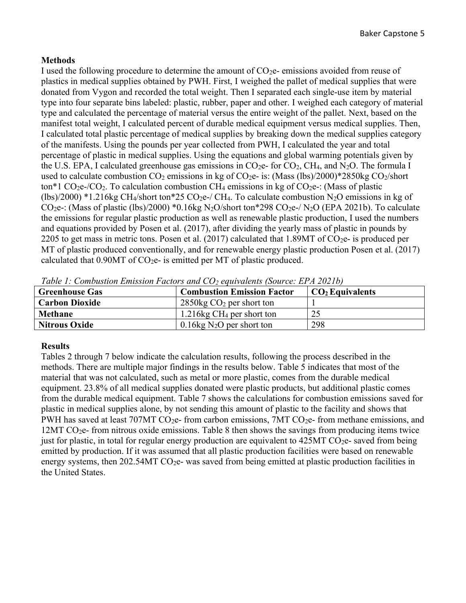#### **Methods**

I used the following procedure to determine the amount of  $CO<sub>2</sub>e$ - emissions avoided from reuse of plastics in medical supplies obtained by PWH. First, I weighed the pallet of medical supplies that were donated from Vygon and recorded the total weight. Then I separated each single-use item by material type into four separate bins labeled: plastic, rubber, paper and other. I weighed each category of material type and calculated the percentage of material versus the entire weight of the pallet. Next, based on the manifest total weight, I calculated percent of durable medical equipment versus medical supplies. Then, I calculated total plastic percentage of medical supplies by breaking down the medical supplies category of the manifests. Using the pounds per year collected from PWH, I calculated the year and total percentage of plastic in medical supplies. Using the equations and global warming potentials given by the U.S. EPA, I calculated greenhouse gas emissions in  $CO<sub>2</sub>e$ - for  $CO<sub>2</sub>$ , CH<sub>4</sub>, and N<sub>2</sub>O. The formula I used to calculate combustion  $CO_2$  emissions in kg of  $CO_2e$ - is: (Mass (lbs)/2000)\*2850kg  $CO_2$ /short ton\*1 CO<sub>2</sub>e-/CO<sub>2</sub>. To calculation combustion CH<sub>4</sub> emissions in kg of CO<sub>2</sub>e-: (Mass of plastic (lbs)/2000) \*1.216kg CH<sub>4</sub>/short ton \*25 CO<sub>2</sub>e-/ CH<sub>4</sub>. To calculate combustion N<sub>2</sub>O emissions in kg of CO<sub>2</sub>e-: (Mass of plastic (lbs)/2000) \*0.16kg N<sub>2</sub>O/short ton\*298 CO<sub>2</sub>e-/ N<sub>2</sub>O (EPA 2021b). To calculate the emissions for regular plastic production as well as renewable plastic production, I used the numbers and equations provided by Posen et al. (2017), after dividing the yearly mass of plastic in pounds by 2205 to get mass in metric tons. Posen et al. (2017) calculated that  $1.89MT$  of CO<sub>2</sub>e- is produced per MT of plastic produced conventionally, and for renewable energy plastic production Posen et al. (2017) calculated that  $0.90MT$  of CO<sub>2</sub>e- is emitted per MT of plastic produced.

| <b>Greenhouse Gas</b> | <b>Combustion Emission Factor</b>              | $CO2$ Equivalents |
|-----------------------|------------------------------------------------|-------------------|
| <b>Carbon Dioxide</b> | $2850\text{kg CO}_2$ per short ton             |                   |
| <b>Methane</b>        | 1.216 $kg$ CH <sub>4</sub> per short ton       | 25                |
| <b>Nitrous Oxide</b>  | $0.16\text{kg}$ N <sub>2</sub> O per short ton | 298               |

*Table 1: Combustion Emission Factors and CO<sup>2</sup> equivalents (Source: EPA 2021b)*

#### **Results**

Tables 2 through 7 below indicate the calculation results, following the process described in the methods. There are multiple major findings in the results below. Table 5 indicates that most of the material that was not calculated, such as metal or more plastic, comes from the durable medical equipment. 23.8% of all medical supplies donated were plastic products, but additional plastic comes from the durable medical equipment. Table 7 shows the calculations for combustion emissions saved for plastic in medical supplies alone, by not sending this amount of plastic to the facility and shows that PWH has saved at least  $707MT CO<sub>2</sub>e-$  from carbon emissions,  $7MT CO<sub>2</sub>e-$  from methane emissions, and  $12MT CO<sub>2</sub>e-$  from nitrous oxide emissions. Table 8 then shows the savings from producing items twice just for plastic, in total for regular energy production are equivalent to  $425MT$  CO<sub>2</sub>e- saved from being emitted by production. If it was assumed that all plastic production facilities were based on renewable energy systems, then  $202.54MT CO<sub>2</sub>e$ - was saved from being emitted at plastic production facilities in the United States.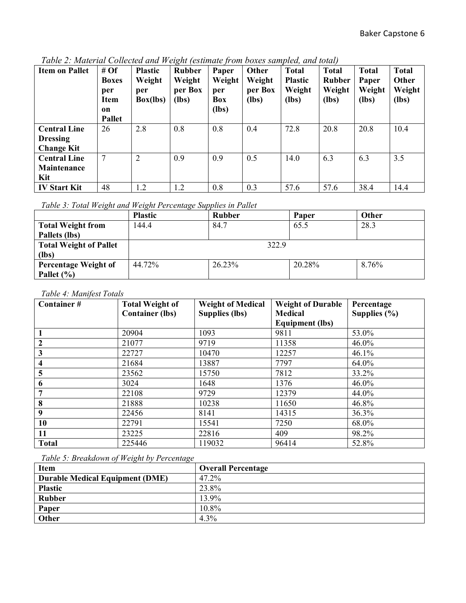| Table 2: Material Collected and Weight (estimate from boxes sampled, and total) |  |
|---------------------------------------------------------------------------------|--|
|---------------------------------------------------------------------------------|--|

| <b>Item on Pallet</b>                                       | #Of<br><b>Boxes</b><br>per<br>Item<br>on<br><b>Pallet</b> | <b>Plastic</b><br>Weight<br>per<br>Box(lbs) | <b>Rubber</b><br>Weight<br>per Box<br>$(lbs)$ | Paper<br>Weight<br>per<br>Box<br>$(lbs)$ | Other<br>Weight<br>per Box<br>$(lbs)$ | <b>Total</b><br><b>Plastic</b><br>Weight<br>$(lbs)$ | <b>Total</b><br><b>Rubber</b><br>Weight<br>$(lbs)$ | <b>Total</b><br>Paper<br>Weight<br>$(lbs)$ | <b>Total</b><br>Other<br>Weight<br>$(lbs)$ |
|-------------------------------------------------------------|-----------------------------------------------------------|---------------------------------------------|-----------------------------------------------|------------------------------------------|---------------------------------------|-----------------------------------------------------|----------------------------------------------------|--------------------------------------------|--------------------------------------------|
| <b>Central Line</b><br><b>Dressing</b><br><b>Change Kit</b> | 26                                                        | 2.8                                         | 0.8                                           | 0.8                                      | 0.4                                   | 72.8                                                | 20.8                                               | 20.8                                       | 10.4                                       |
| <b>Central Line</b><br>Maintenance<br>Kit                   | 7                                                         | 2                                           | 0.9                                           | 0.9                                      | 0.5                                   | 14.0                                                | 6.3                                                | 6.3                                        | 3.5                                        |
| <b>IV Start Kit</b>                                         | 48                                                        | 1.2                                         | 1.2                                           | 0.8                                      | 0.3                                   | 57.6                                                | 57.6                                               | 38.4                                       | 14.4                                       |

*Table 3: Total Weight and Weight Percentage Supplies in Pallet*

|                               | <b>Plastic</b> | <b>Rubber</b> | Paper  | Other |  |  |  |
|-------------------------------|----------------|---------------|--------|-------|--|--|--|
| <b>Total Weight from</b>      | 144.4          | 84.7          | 65.5   | 28.3  |  |  |  |
| Pallets (lbs)                 |                |               |        |       |  |  |  |
| <b>Total Weight of Pallet</b> | 322.9          |               |        |       |  |  |  |
| $(lbs)$                       |                |               |        |       |  |  |  |
| <b>Percentage Weight of</b>   | 44.72%         | 26.23%        | 20.28% | 8.76% |  |  |  |
| Pallet $(\% )$                |                |               |        |       |  |  |  |

*Table 4: Manifest Totals*

| <b>Container#</b> | <b>Total Weight of</b> | <b>Weight of Medical</b> | <b>Weight of Durable</b> | Percentage       |
|-------------------|------------------------|--------------------------|--------------------------|------------------|
|                   | <b>Container (lbs)</b> | <b>Supplies (lbs)</b>    | <b>Medical</b>           | Supplies $(\% )$ |
|                   |                        |                          | <b>Equipment (lbs)</b>   |                  |
|                   | 20904                  | 1093                     | 9811                     | 53.0%            |
| $\boldsymbol{2}$  | 21077                  | 9719                     | 11358                    | 46.0%            |
| 3                 | 22727                  | 10470                    | 12257                    | 46.1%            |
| 4                 | 21684                  | 13887                    | 7797                     | 64.0%            |
| 5                 | 23562                  | 15750                    | 7812                     | 33.2%            |
| 6                 | 3024                   | 1648                     | 1376                     | 46.0%            |
| 7                 | 22108                  | 9729                     | 12379                    | 44.0%            |
| 8                 | 21888                  | 10238                    | 11650                    | 46.8%            |
| 9                 | 22456                  | 8141                     | 14315                    | 36.3%            |
| 10                | 22791                  | 15541                    | 7250                     | 68.0%            |
| 11                | 23225                  | 22816                    | 409                      | 98.2%            |
| <b>Total</b>      | 225446                 | 119032                   | 96414                    | 52.8%            |

*Table 5: Breakdown of Weight by Percentage*

| $\cdots$ $\cdots$ $\cdots$<br><b>Item</b> | <b>Overall Percentage</b> |
|-------------------------------------------|---------------------------|
| <b>Durable Medical Equipment (DME)</b>    | 47.2%                     |
| <b>Plastic</b>                            | 23.8%                     |
| <b>Rubber</b>                             | 13.9%                     |
| Paper                                     | $10.8\%$                  |
| Other                                     | $4.3\%$                   |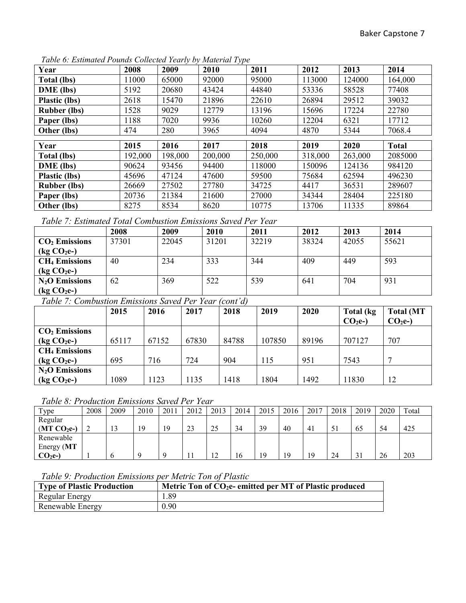| Year                 | 2008    | 2009    | $\overline{\phantom{a}}$<br>2010 | 2011    | 2012    | 2013    | 2014         |
|----------------------|---------|---------|----------------------------------|---------|---------|---------|--------------|
| <b>Total (lbs)</b>   | 11000   | 65000   | 92000                            | 95000   | 113000  | 124000  | 164,000      |
| DME (lbs)            | 5192    | 20680   | 43424                            | 44840   | 53336   | 58528   | 77408        |
| <b>Plastic (lbs)</b> | 2618    | 15470   | 21896                            | 22610   | 26894   | 29512   | 39032        |
| <b>Rubber (lbs)</b>  | 1528    | 9029    | 12779                            | 13196   | 15696   | 17224   | 22780        |
| Paper (lbs)          | 1188    | 7020    | 9936                             | 10260   | 12204   | 6321    | 17712        |
| Other (lbs)          | 474     | 280     | 3965                             | 4094    | 4870    | 5344    | 7068.4       |
| Year                 | 2015    | 2016    | 2017                             | 2018    | 2019    | 2020    | <b>Total</b> |
|                      |         |         |                                  |         |         |         |              |
| <b>Total (lbs)</b>   | 192,000 | 198,000 | 200,000                          | 250,000 | 318,000 | 263,000 | 2085000      |
| DME (lbs)            | 90624   | 93456   | 94400                            | 118000  | 150096  | 124136  | 984120       |
| <b>Plastic (lbs)</b> | 45696   | 47124   | 47600                            | 59500   | 75684   | 62594   | 496230       |
| <b>Rubber (lbs)</b>  | 26669   | 27502   | 27780                            | 34725   | 4417    | 36531   | 289607       |
| Paper (lbs)          | 20736   | 21384   | 21600                            | 27000   | 34344   | 28404   | 225180       |
| Other (lbs)          | 8275    | 8534    | 8620                             | 10775   | 13706   | 11335   | 89864        |

*Table 6: Estimated Pounds Collected Yearly by Material Type*

*Table 7: Estimated Total Combustion Emissions Saved Per Year*

|                                        | 2008  | 2009  | 2010  | 2011  | 2012  | 2013  | 2014  |
|----------------------------------------|-------|-------|-------|-------|-------|-------|-------|
| $CO2$ Emissions                        | 37301 | 22045 | 31201 | 32219 | 38324 | 42055 | 55621 |
| $\log CO2e-$                           |       |       |       |       |       |       |       |
| <b>CH<sub>4</sub></b> Emissions        | 40    | 234   | 333   | 344   | 409   | 449   | 593   |
| $\log CO_2$ e-)                        |       |       |       |       |       |       |       |
| $N_2O$ Emissions                       | 62    | 369   | 522   | 539   | 641   | 704   | 931   |
| $\left(\text{kg CO}_2\text{e-}\right)$ |       |       |       |       |       |       |       |

*Table 7: Combustion Emissions Saved Per Year (cont'd)*

|                                        | 2015  | 2016  | 2017  | 2018  | 2019   | 2020  | Total (kg)<br>$CO2e-)$ | <b>Total (MT</b><br>$CO2e-)$ |
|----------------------------------------|-------|-------|-------|-------|--------|-------|------------------------|------------------------------|
| $CO2$ Emissions                        |       |       |       |       |        |       |                        |                              |
| $(kg CO2e-)$                           | 65117 | 67152 | 67830 | 84788 | 107850 | 89196 | 707127                 | 707                          |
| <b>CH<sub>4</sub></b> Emissions        |       |       |       |       |        |       |                        |                              |
| $\left(\text{kg CO}_2\text{e-}\right)$ | 695   | 716   | 724   | 904   | 115    | 951   | 7543                   |                              |
| $N2O$ Emissions                        |       |       |       |       |        |       |                        |                              |
| $\left(\text{kg CO}_2\text{e-}\right)$ | 089   | 123   | 1135  | 1418  | 1804   | 492   | 11830                  | 12                           |

#### *Table 8: Production Emissions Saved Per Year*

| $_{\text{Type}}$ | 2008 | 2009   | 2010 | 2011 | 2012                | 2013 | 2014 | 2015 | 2016 | 2017 | 2018 | 2019          | 2020 | Total |
|------------------|------|--------|------|------|---------------------|------|------|------|------|------|------|---------------|------|-------|
| Regular          |      |        |      |      |                     |      |      |      |      |      |      |               |      |       |
| $(MT CO2e-)$     |      | $\sim$ | 19   | 19   | $\mathcal{L}$<br>د∠ | 25   | 34   | 39   | 40   | 4ì   | 51   | 65            | 54   | 425   |
| Renewable        |      |        |      |      |                     |      |      |      |      |      |      |               |      |       |
| Energy (MT       |      |        |      |      |                     |      |      |      |      |      |      |               |      |       |
| $CO2e-)$         |      | O      |      |      | 1 I                 | 12   | 16   | Q    | 19   | 19   | 24   | $\sim$<br>J 1 | 26   | 203   |

*Table 9: Production Emissions per Metric Ton of Plastic*

| <b>Type of Plastic Production</b> | Metric Ton of $CO2e$ - emitted per MT of Plastic produced |
|-----------------------------------|-----------------------------------------------------------|
| <b>Regular Energy</b>             | 1.89                                                      |
| Renewable Energy                  | 0.90                                                      |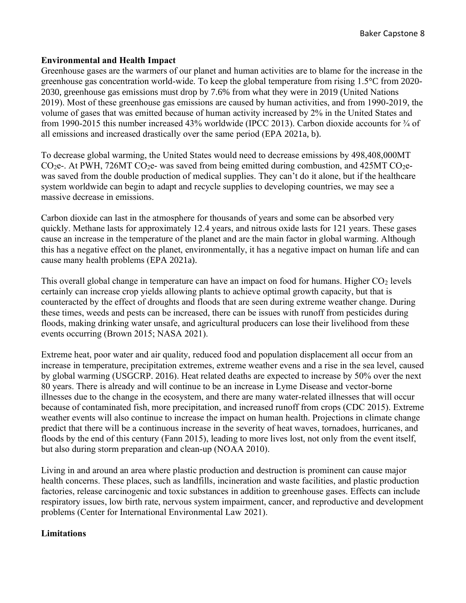## **Environmental and Health Impact**

Greenhouse gases are the warmers of our planet and human activities are to blame for the increase in the greenhouse gas concentration world-wide. To keep the global temperature from rising 1.5°C from 2020- 2030, greenhouse gas emissions must drop by 7.6% from what they were in 2019 (United Nations 2019). Most of these greenhouse gas emissions are caused by human activities, and from 1990-2019, the volume of gases that was emitted because of human activity increased by 2% in the United States and from 1990-2015 this number increased 43% worldwide (IPCC 2013). Carbon dioxide accounts for  $\frac{3}{4}$  of all emissions and increased drastically over the same period (EPA 2021a, b).

To decrease global warming, the United States would need to decrease emissions by 498,408,000MT  $CO<sub>2</sub>e$ -. At PWH, 726MT CO<sub>2</sub>e- was saved from being emitted during combustion, and 425MT CO<sub>2</sub>ewas saved from the double production of medical supplies. They can't do it alone, but if the healthcare system worldwide can begin to adapt and recycle supplies to developing countries, we may see a massive decrease in emissions.

Carbon dioxide can last in the atmosphere for thousands of years and some can be absorbed very quickly. Methane lasts for approximately 12.4 years, and nitrous oxide lasts for 121 years. These gases cause an increase in the temperature of the planet and are the main factor in global warming. Although this has a negative effect on the planet, environmentally, it has a negative impact on human life and can cause many health problems (EPA 2021a).

This overall global change in temperature can have an impact on food for humans. Higher  $CO<sub>2</sub>$  levels certainly can increase crop yields allowing plants to achieve optimal growth capacity, but that is counteracted by the effect of droughts and floods that are seen during extreme weather change. During these times, weeds and pests can be increased, there can be issues with runoff from pesticides during floods, making drinking water unsafe, and agricultural producers can lose their livelihood from these events occurring (Brown 2015; NASA 2021).

Extreme heat, poor water and air quality, reduced food and population displacement all occur from an increase in temperature, precipitation extremes, extreme weather evens and a rise in the sea level, caused by global warming (USGCRP. 2016). Heat related deaths are expected to increase by 50% over the next 80 years. There is already and will continue to be an increase in Lyme Disease and vector-borne illnesses due to the change in the ecosystem, and there are many water-related illnesses that will occur because of contaminated fish, more precipitation, and increased runoff from crops (CDC 2015). Extreme weather events will also continue to increase the impact on human health. Projections in climate change predict that there will be a continuous increase in the severity of heat waves, tornadoes, hurricanes, and floods by the end of this century (Fann 2015), leading to more lives lost, not only from the event itself, but also during storm preparation and clean-up (NOAA 2010).

Living in and around an area where plastic production and destruction is prominent can cause major health concerns. These places, such as landfills, incineration and waste facilities, and plastic production factories, release carcinogenic and toxic substances in addition to greenhouse gases. Effects can include respiratory issues, low birth rate, nervous system impairment, cancer, and reproductive and development problems (Center for International Environmental Law 2021).

#### **Limitations**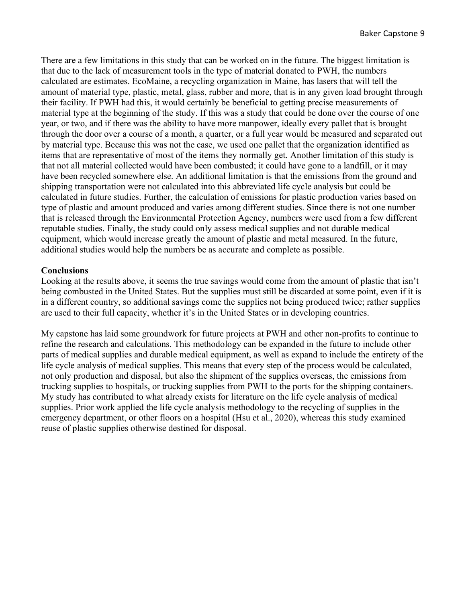There are a few limitations in this study that can be worked on in the future. The biggest limitation is that due to the lack of measurement tools in the type of material donated to PWH, the numbers calculated are estimates. EcoMaine, a recycling organization in Maine, has lasers that will tell the amount of material type, plastic, metal, glass, rubber and more, that is in any given load brought through their facility. If PWH had this, it would certainly be beneficial to getting precise measurements of material type at the beginning of the study. If this was a study that could be done over the course of one year, or two, and if there was the ability to have more manpower, ideally every pallet that is brought through the door over a course of a month, a quarter, or a full year would be measured and separated out by material type. Because this was not the case, we used one pallet that the organization identified as items that are representative of most of the items they normally get. Another limitation of this study is that not all material collected would have been combusted; it could have gone to a landfill, or it may have been recycled somewhere else. An additional limitation is that the emissions from the ground and shipping transportation were not calculated into this abbreviated life cycle analysis but could be calculated in future studies. Further, the calculation of emissions for plastic production varies based on type of plastic and amount produced and varies among different studies. Since there is not one number that is released through the Environmental Protection Agency, numbers were used from a few different reputable studies. Finally, the study could only assess medical supplies and not durable medical equipment, which would increase greatly the amount of plastic and metal measured. In the future, additional studies would help the numbers be as accurate and complete as possible.

## **Conclusions**

Looking at the results above, it seems the true savings would come from the amount of plastic that isn't being combusted in the United States. But the supplies must still be discarded at some point, even if it is in a different country, so additional savings come the supplies not being produced twice; rather supplies are used to their full capacity, whether it's in the United States or in developing countries.

My capstone has laid some groundwork for future projects at PWH and other non-profits to continue to refine the research and calculations. This methodology can be expanded in the future to include other parts of medical supplies and durable medical equipment, as well as expand to include the entirety of the life cycle analysis of medical supplies. This means that every step of the process would be calculated, not only production and disposal, but also the shipment of the supplies overseas, the emissions from trucking supplies to hospitals, or trucking supplies from PWH to the ports for the shipping containers. My study has contributed to what already exists for literature on the life cycle analysis of medical supplies. Prior work applied the life cycle analysis methodology to the recycling of supplies in the emergency department, or other floors on a hospital (Hsu et al., 2020), whereas this study examined reuse of plastic supplies otherwise destined for disposal.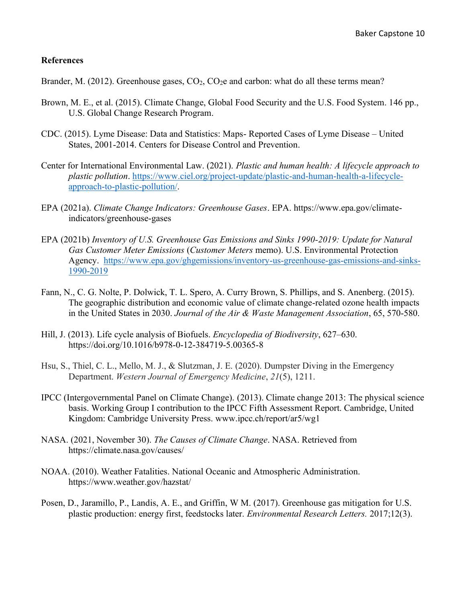### **References**

Brander, M. (2012). Greenhouse gases,  $CO<sub>2</sub>$ ,  $CO<sub>2</sub>$  and carbon: what do all these terms mean?

- Brown, M. E., et al. (2015). Climate Change, Global Food Security and the U.S. Food System. 146 pp., U.S. Global Change Research Program.
- CDC. (2015). Lyme Disease: Data and Statistics: Maps- Reported Cases of Lyme Disease United States, 2001-2014. Centers for Disease Control and Prevention.
- Center for International Environmental Law. (2021). *Plastic and human health: A lifecycle approach to plastic pollution*. [https://www.ciel.org/project-update/plastic-and-human-health-a-lifecycle](https://www.ciel.org/project-update/plastic-and-human-health-a-lifecycle-approach-to-plastic-pollution/)[approach-to-plastic-pollution/.](https://www.ciel.org/project-update/plastic-and-human-health-a-lifecycle-approach-to-plastic-pollution/)
- EPA (2021a). *Climate Change Indicators: Greenhouse Gases*. EPA. https://www.epa.gov/climateindicators/greenhouse-gases
- EPA (2021b) *Inventory of U.S. Greenhouse Gas Emissions and Sinks 1990-2019: Update for Natural Gas Customer Meter Emissions* (*Customer Meters* memo). U.S. Environmental Protection Agency. [https://www.epa.gov/ghgemissions/inventory-us-greenhouse-gas-emissions-and-sinks-](https://www.epa.gov/ghgemissions/inventory-us-greenhouse-gas-emissions-and-sinks-1990-2019)[1990-2019](https://www.epa.gov/ghgemissions/inventory-us-greenhouse-gas-emissions-and-sinks-1990-2019)
- Fann, N., C. G. Nolte, P. Dolwick, T. L. Spero, A. Curry Brown, S. Phillips, and S. Anenberg. (2015). The geographic distribution and economic value of climate change-related ozone health impacts in the United States in 2030. *Journal of the Air & Waste Management Association*, 65, 570-580.
- Hill, J. (2013). Life cycle analysis of Biofuels. *Encyclopedia of Biodiversity*, 627–630. https://doi.org/10.1016/b978-0-12-384719-5.00365-8
- Hsu, S., Thiel, C. L., Mello, M. J., & Slutzman, J. E. (2020). Dumpster Diving in the Emergency Department. *Western Journal of Emergency Medicine*, *21*(5), 1211.
- IPCC (Intergovernmental Panel on Climate Change). (2013). Climate change 2013: The physical science basis. Working Group I contribution to the IPCC Fifth Assessment Report. Cambridge, United Kingdom: Cambridge University Press. www.ipcc.ch/report/ar5/wg1
- NASA. (2021, November 30). *The Causes of Climate Change*. NASA. Retrieved from https://climate.nasa.gov/causes/
- NOAA. (2010). Weather Fatalities. National Oceanic and Atmospheric Administration. https://www.weather.gov/hazstat/
- Posen, D., Jaramillo, P., Landis, A. E., and Griffin, W M. (2017). Greenhouse gas mitigation for U.S. plastic production: energy first, feedstocks later. *Environmental Research Letters.* 2017;12(3).